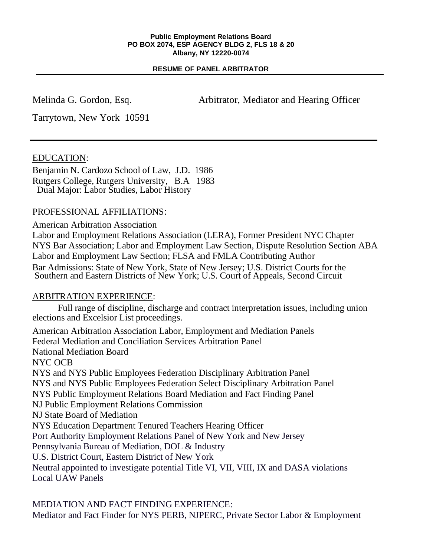## **RESUME OF PANEL ARBITRATOR**

 $\overline{\phantom{a}}$  , and the contract of the contract of the contract of the contract of the contract of the contract of the contract of the contract of the contract of the contract of the contract of the contract of the contrac

Melinda G. Gordon, Esq. Arbitrator, Mediator and Hearing Officer

Tarrytown, New York 10591

# EDUCATION:

Benjamin N. Cardozo School of Law, J.D. 1986 Rutgers College, Rutgers University, B.A 1983 Dual Major: Labor Studies, Labor History

## PROFESSIONAL AFFILIATIONS:

American Arbitration Association Labor and Employment Relations Association (LERA), Former President NYC Chapter NYS Bar Association; Labor and Employment Law Section, Dispute Resolution Section ABA Labor and Employment Law Section; FLSA and FMLA Contributing Author Bar Admissions: State of New York, State of New Jersey; U.S. District Courts for the Southern and Eastern Districts of New York; U.S. Court of Appeals, Second Circuit

## ARBITRATION EXPERIENCE:

Full range of discipline, discharge and contract interpretation issues, including union elections and Excelsior List proceedings.

American Arbitration Association Labor, Employment and Mediation Panels Federal Mediation and Conciliation Services Arbitration Panel National Mediation Board NYC OCB NYS and NYS Public Employees Federation Disciplinary Arbitration Panel NYS and NYS Public Employees Federation Select Disciplinary Arbitration Panel NYS Public Employment Relations Board Mediation and Fact Finding Panel NJ Public Employment Relations Commission NJ State Board of Mediation NYS Education Department Tenured Teachers Hearing Officer Port Authority Employment Relations Panel of New York and New Jersey Pennsylvania Bureau of Mediation, DOL & Industry U.S. District Court, Eastern District of New York Neutral appointed to investigate potential Title VI, VII, VIII, IX and DASA violations Local UAW Panels

# MEDIATION AND FACT FINDING EXPERIENCE:

Mediator and Fact Finder for NYS PERB, NJPERC, Private Sector Labor & Employment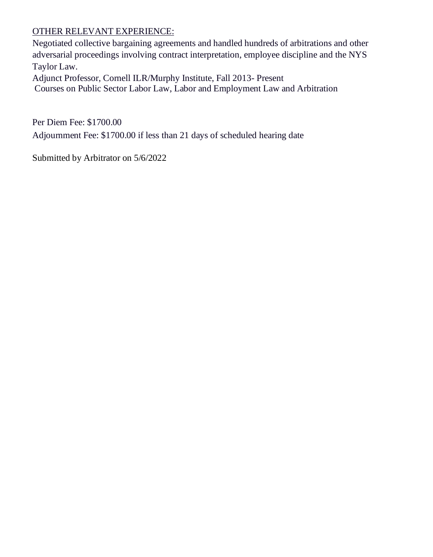# OTHER RELEVANT EXPERIENCE:

Negotiated collective bargaining agreements and handled hundreds of arbitrations and other adversarial proceedings involving contract interpretation, employee discipline and the NYS Taylor Law.

Adjunct Professor, Cornell ILR/Murphy Institute, Fall 2013- Present Courses on Public Sector Labor Law, Labor and Employment Law and Arbitration

Per Diem Fee: \$1700.00 Adjournment Fee: \$1700.00 if less than 21 days of scheduled hearing date

Submitted by Arbitrator on 5/6/2022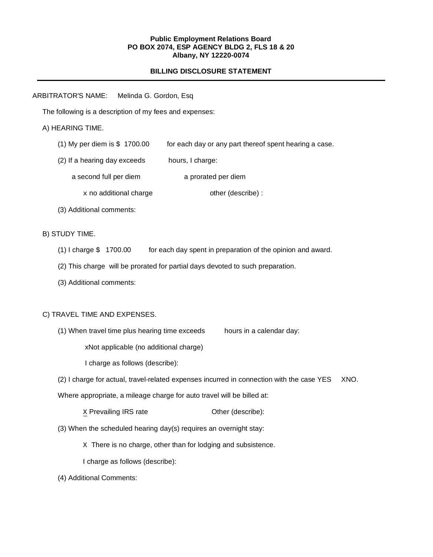#### **Public Employment Relations Board PO BOX 2074, ESP AGENCY BLDG 2, FLS 18 & 20 Albany, NY 12220-0074**

### **BILLING DISCLOSURE STATEMENT**

#### ARBITRATOR'S NAME: Melinda G. Gordon, Esq

The following is a description of my fees and expenses:

#### A) HEARING TIME.

- $(1)$  My per diem is \$ 1700.00 for each day or any part thereof spent hearing a case.
- (2) If a hearing day exceeds hours, I charge:
	- a second full per diem a prorated per diem
		- $x$  no additional charge  $x$  other (describe) :
- (3) Additional comments:

### B) STUDY TIME.

- (1) I charge \$ 1700.00 for each day spent in preparation of the opinion and award.
- (2) This charge will be prorated for partial days devoted to such preparation.
- (3) Additional comments:

#### C) TRAVEL TIME AND EXPENSES.

(1) When travel time plus hearing time exceeds hours in a calendar day:

xNot applicable (no additional charge)

I charge as follows (describe):

(2) I charge for actual, travel-related expenses incurred in connection with the case YES XNO.

Where appropriate, a mileage charge for auto travel will be billed at:

| x Prevailing IRS rate | Other (describe): |
|-----------------------|-------------------|
|                       |                   |

- (3) When the scheduled hearing day(s) requires an overnight stay:
	- X There is no charge, other than for lodging and subsistence.
	- I charge as follows (describe):
- (4) Additional Comments: